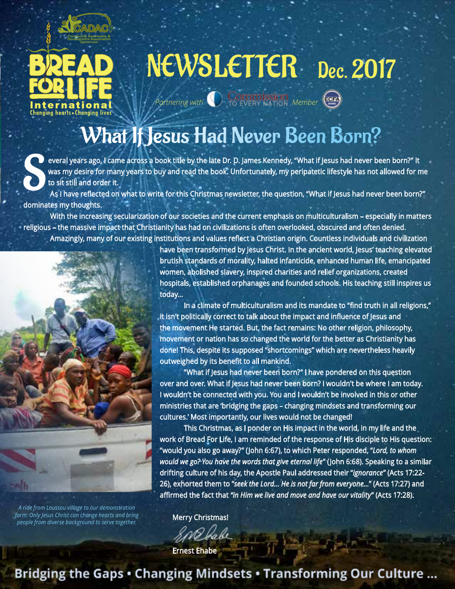

# NEWSLETTER Dec. 2017

(इसक

What If Jesus Had Never Been Born?

*Partnering with* **Commission** *Member* 

everal years ago, I came across a book title by the late Dr. D. James Kennedy, "What if Jesus had never been born?" It<br>to sit still and order it.<br>As I have reflected on what to write for this Christmas newsletter, the ques was my desire for many years to buy and read the book. Unfortunately, my peripatetic lifestyle has not allowed for me to sit still and order it.

dominates my thoughts.

With the increasing secularization of our societies and the current emphasis on multiculturalism – especially in matters religious – the massive impact that Christianity has had on civilizations is often overlooked, obscured and often denied. Amazingly, many of our existing institutions and values reflect a Christian origin. Countless individuals and civilization



*A ride from Loussou village to our demonstration farm: Only Jesus Christ can change hearts and bring people from diverse background to serve together.*

have been transformed by Jesus Christ. In the ancient world, Jesus' teaching elevated brutish standards of morality, halted infanticide, enhanced human life, emancipated women, abolished slavery, inspired charities and relief organizations, created hospitals, established orphanages and founded schools. His teaching still inspires us today…

 In a climate of multiculturalism and its mandate to "find truth in all religions," it isn't politically correct to talk about the impact and influence of Jesus and the movement He started. But, the fact remains: No other religion, philosophy, movement or nation has so changed the world for the better as Christianity has done! This, despite its supposed "shortcomings" which are nevertheless heavily outweighed by its benefit to all mankind.

 "What if Jesus had never been born?" I have pondered on this question over and over. What if Jesus had never been born? I wouldn't be where I am today. I wouldn't be connected with you. You and I wouldn't be involved in this or other ministries that are 'bridging the gaps – changing mindsets and transforming our cultures.' Most importantly, our lives would not be changed!

 This Christmas, as I ponder on His impact in the world, in my life and the work of Bread For Life, I am reminded of the response of His disciple to His question: "would you also go away?" (John 6:67), to which Peter responded, "*Lord, to whom would we go? You have the words that give eternal life*" (John 6:68). Speaking to a similar drifting culture of his day, the Apostle Paul addressed their "*ignorance*" (Acts 17:22- 26), exhorted them to "*seek the Lord… He is not far from everyone…*" (Acts 17:27) and affirmed the fact that *"in Him we live and move and have our vitality*" (Acts 17:28).

Merry Christmas!

Ernest Ehabe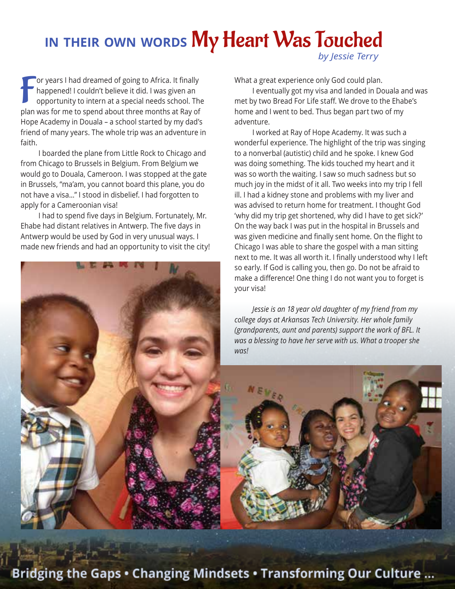## **in their own words** My Heart Was Touched *by Jessie Terry*

For years I had dreamed of going to Africa. It finally happened! I couldn't believe it did. I was given an opportunity to intern at a special needs school. The plan was for me to spend about three months at Ray of or years I had dreamed of going to Africa. It finally happened! I couldn't believe it did. I was given an opportunity to intern at a special needs school. The Hope Academy in Douala – a school started by my dad's friend of many years. The whole trip was an adventure in faith.

I boarded the plane from Little Rock to Chicago and from Chicago to Brussels in Belgium. From Belgium we would go to Douala, Cameroon. I was stopped at the gate in Brussels, "ma'am, you cannot board this plane, you do not have a visa…" I stood in disbelief. I had forgotten to apply for a Cameroonian visa!

I had to spend five days in Belgium. Fortunately, Mr. Ehabe had distant relatives in Antwerp. The five days in Antwerp would be used by God in very unusual ways. I made new friends and had an opportunity to visit the city!



What a great experience only God could plan.

I eventually got my visa and landed in Douala and was met by two Bread For Life staff. We drove to the Ehabe's home and I went to bed. Thus began part two of my adventure.

I worked at Ray of Hope Academy. It was such a wonderful experience. The highlight of the trip was singing to a nonverbal (autistic) child and he spoke. I knew God was doing something. The kids touched my heart and it was so worth the waiting. I saw so much sadness but so much joy in the midst of it all. Two weeks into my trip I fell ill. I had a kidney stone and problems with my liver and was advised to return home for treatment. I thought God 'why did my trip get shortened, why did I have to get sick?' On the way back I was put in the hospital in Brussels and was given medicine and finally sent home. On the flight to Chicago I was able to share the gospel with a man sitting next to me. It was all worth it. I finally understood why I left so early. If God is calling you, then go. Do not be afraid to make a difference! One thing I do not want you to forget is your visa!

*Jessie is an 18 year old daughter of my friend from my college days at Arkansas Tech University. Her whole family (grandparents, aunt and parents) support the work of BFL. It was a blessing to have her serve with us. What a trooper she was!*

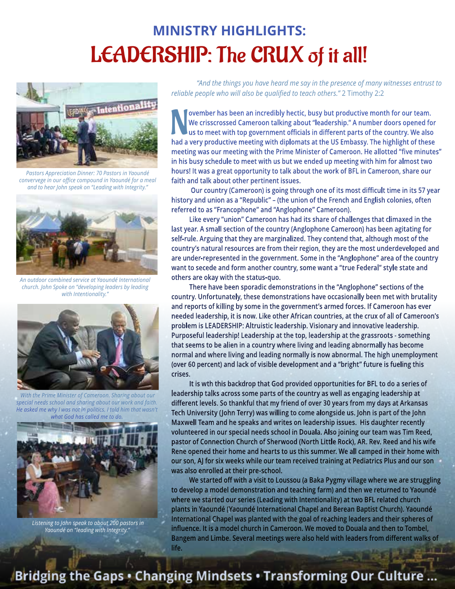### **MINISTRY HIGHLIGHTS:** LEADERSHIP: The CRUX of it all!



*Pastors Appreciation Dinner: 70 Pastors in Yaoundé convervege in our office compound in Yaoundé for a meal and to hear John speak on "Leading with Integrity."*



*An outdoor combined service at Yaoundé International church. John Spoke on "developing leaders by leading with Intentionality."*



 *With the Prime Minister of Cameroon. Sharing about our special needs school and sharing about our work and faith. He asked me why I was not in politics. I told him that wasn't what God has called me to do.*



 *Listening to John speak to about 200 pastors in Yaoundé on "leading with Integrity."*

*"And the things you have heard me say in the presence of many witnesses entrust to reliable people who will also be qualified to teach others."* 2 Timothy 2:2

**had a very productive meeting with diplomats at the US Embassy. The highlight of these bad a very productive meeting with diplomats at the US Embassy. The highlight of these ovember has been an incredibly hectic, busy but productive month for our team. We crisscrossed Cameroon talking about "leadership." A number doors opened for us to meet with top government officials in different parts of the country. We also meeting was our meeting with the Prime Minister of Cameroon. He allotted "five minutes" in his busy schedule to meet with us but we ended up meeting with him for almost two hours! It was a great opportunity to talk about the work of BFL in Cameroon, share our faith and talk about other pertinent issues.**

 **Our country (Cameroon) is going through one of its most difficult time in its 57 year history and union as a "Republic" – (the union of the French and English colonies, often referred to as "Francophone" and "Anglophone" Cameroon).**

**Like every "union" Cameroon has had its share of challenges that climaxed in the last year. A small section of the country (Anglophone Cameroon) has been agitating for self-rule. Arguing that they are marginalized. They contend that, although most of the country's natural resources are from their region, they are the most underdeveloped and are under-represented in the government. Some in the "Anglophone" area of the country want to secede and form another country, some want a "true Federal" style state and others are okay with the status-quo.** 

**There have been sporadic demonstrations in the "Anglophone" sections of the country. Unfortunately, these demonstrations have occasionally been met with brutality and reports of killing by some in the government's armed forces. If Cameroon has ever needed leadership, it is now. Like other African countries, at the crux of all of Cameroon's problem is LEADERSHIP: Altruistic leadership. Visionary and innovative leadership. Purposeful leadership! Leadership at the top, leadership at the grassroots - something that seems to be alien in a country where living and leading abnormally has become normal and where living and leading normally is now abnormal. The high unemployment (over 60 percent) and lack of visible development and a "bright" future is fueling this crises.**

**It is wth this backdrop that God provided opportunities for BFL to do a series of leadership talks across some parts of the country as well as engaging leadership at different levels. So thankful that my friend of over 30 years from my days at Arkansas Tech University (John Terry) was willing to come alongside us. John is part of the John Maxwell Team and he speaks and writes on leadership issues. His daughter recently volunteered in our special needs school in Douala. Also joining our team was Tim Reed, pastor of Connection Church of Sherwood (North Little Rock), AR. Rev. Reed and his wife Rene opened their home and hearts to us this summer. We all camped in their home with our son, AJ for six weeks while our team received training at Pediatrics Plus and our son was also enrolled at their pre-school.**

**We started off with a visit to Loussou (a Baka Pygmy village where we are struggling to develop a model demonstration and teaching farm) and then we returned to Yaoundé where we started our series (Leading with Intentionality) at two BFL related church plants in Yaoundé (Yaoundé International Chapel and Berean Baptist Church). Yaoundé International Chapel was planted with the goal of reaching leaders and their spheres of influence. It is a model church in Cameroon. We moved to Douala and then to Tombel, Bangem and Limbe. Several meetings were also held with leaders from different walks of life.**